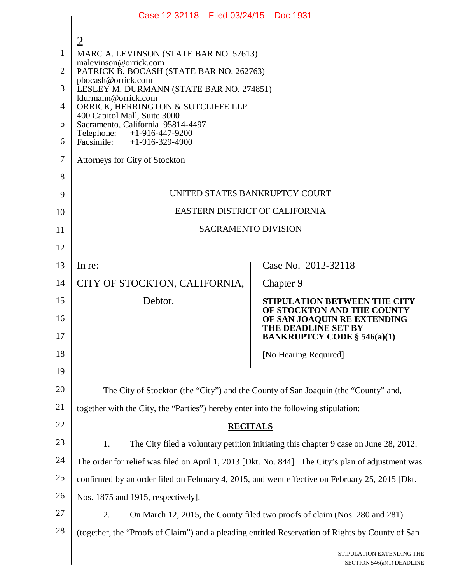|                | Case 12-32118   Filed 03/24/15                                                                                                     |  | Doc 1931                                                  |  |  |
|----------------|------------------------------------------------------------------------------------------------------------------------------------|--|-----------------------------------------------------------|--|--|
|                | 2                                                                                                                                  |  |                                                           |  |  |
| 1              | MARC A. LEVINSON (STATE BAR NO. 57613)                                                                                             |  |                                                           |  |  |
| $\overline{2}$ | malevinson@orrick.com<br>PATRICK B. BOCASH (STATE BAR NO. 262763)                                                                  |  |                                                           |  |  |
| 3              | pbocash@orrick.com<br>LESLEY M. DURMANN (STATE BAR NO. 274851)                                                                     |  |                                                           |  |  |
| 4              | ldurmann@orrick.com<br>ORRICK, HERRINGTON & SUTCLIFFE LLP                                                                          |  |                                                           |  |  |
| 5              | 400 Capitol Mall, Suite 3000<br>Sacramento, California 95814-4497<br>$+1-916-447-9200$<br>Telephone:<br>Facsimile: +1-916-329-4900 |  |                                                           |  |  |
| 6              |                                                                                                                                    |  |                                                           |  |  |
| $\tau$         | Attorneys for City of Stockton                                                                                                     |  |                                                           |  |  |
| 8              |                                                                                                                                    |  |                                                           |  |  |
| 9              | UNITED STATES BANKRUPTCY COURT                                                                                                     |  |                                                           |  |  |
| 10             | EASTERN DISTRICT OF CALIFORNIA                                                                                                     |  |                                                           |  |  |
| 11             | <b>SACRAMENTO DIVISION</b>                                                                                                         |  |                                                           |  |  |
| 12             |                                                                                                                                    |  |                                                           |  |  |
| 13             | In re:                                                                                                                             |  | Case No. 2012-32118                                       |  |  |
| 14             | CITY OF STOCKTON, CALIFORNIA,                                                                                                      |  | Chapter 9                                                 |  |  |
| 15             | Debtor.                                                                                                                            |  | <b>STIPULATION BETWEEN THE CITY</b>                       |  |  |
| 16             |                                                                                                                                    |  | OF STOCKTON AND THE COUNTY<br>OF SAN JOAQUIN RE EXTENDING |  |  |
| 17             |                                                                                                                                    |  | THE DEADLINE SET BY<br><b>BANKRUPTCY CODE § 546(a)(1)</b> |  |  |
| 18             |                                                                                                                                    |  | [No Hearing Required]                                     |  |  |
| 19             |                                                                                                                                    |  |                                                           |  |  |
| 20             | The City of Stockton (the "City") and the County of San Joaquin (the "County" and,                                                 |  |                                                           |  |  |
| 21             | together with the City, the "Parties") hereby enter into the following stipulation:                                                |  |                                                           |  |  |
| 22             | <b>RECITALS</b>                                                                                                                    |  |                                                           |  |  |
| 23             | 1.<br>The City filed a voluntary petition initiating this chapter 9 case on June 28, 2012.                                         |  |                                                           |  |  |
| 24             | The order for relief was filed on April 1, 2013 [Dkt. No. 844]. The City's plan of adjustment was                                  |  |                                                           |  |  |
| 25             | confirmed by an order filed on February 4, 2015, and went effective on February 25, 2015 [Dkt.                                     |  |                                                           |  |  |
| 26             | Nos. 1875 and 1915, respectively].                                                                                                 |  |                                                           |  |  |
| 27             | 2.<br>On March 12, 2015, the County filed two proofs of claim (Nos. 280 and 281)                                                   |  |                                                           |  |  |
| 28             | (together, the "Proofs of Claim") and a pleading entitled Reservation of Rights by County of San                                   |  |                                                           |  |  |
|                |                                                                                                                                    |  | STIPULATION EXTENDING THE<br>SECTION 546(a)(1) DEADLINE   |  |  |